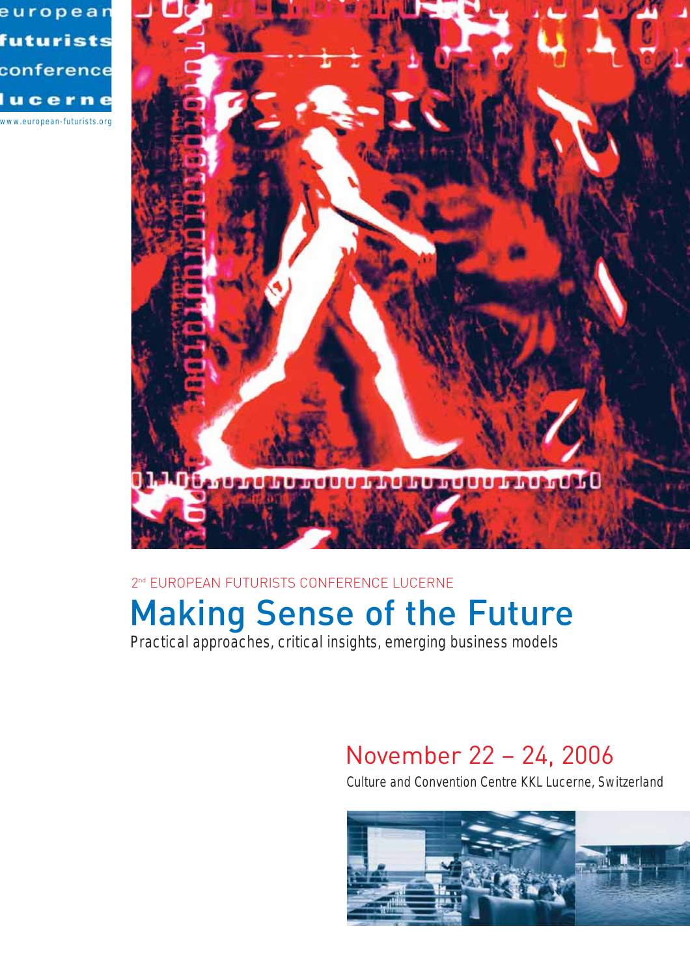



## 2<sup>nd</sup> EUROPEAN FUTURISTS CONFERENCE LUCERNE

# Making Sense of the Future

Practical approaches, critical insights, emerging business models

# November 22 – 24, 2006

Culture and Convention Centre KKL Lucerne, Switzerland

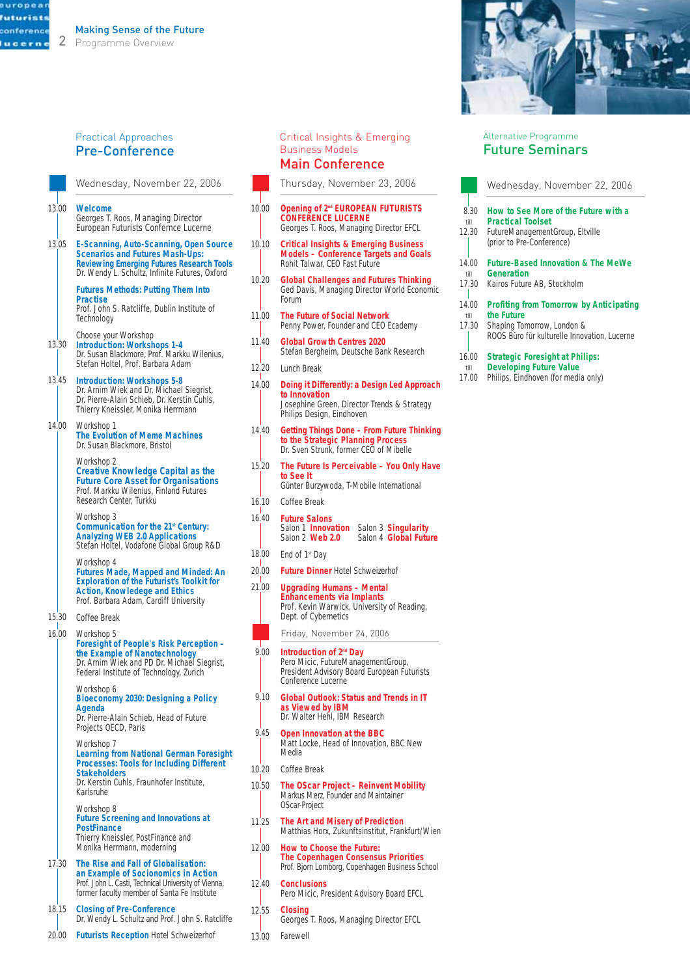#### 2 Programme Overview

#### Practical Approaches Pre-Conference

**Welcome** Georges T. Roos, Managing Director European Futurists Confernce Lucerne 13.00

**E-Scanning, Auto-Scanning, Open Source Scenarios and Futures Mash-Ups: Reviewing Emerging Futures Research Tools** Dr. Wendy L. Schultz, Infinite Futures, Oxford 13.05

> **Futures Methods: Putting Them Into Practise**

Prof. John S. Ratcliffe, Dublin Institute of **Technology** 

- Choose your Workshop **Introduction: Workshops 1-4** Dr. Susan Blackmore, Prof. Markku Wilenius, Stefan Holtel, Prof. Barbara Adam 13.30
- **Introduction: Workshops 5-8** 13.45 Dr. Arnim Wiek and Dr. Michael Siegrist, Dr. Pierre-Alain Schieb, Dr. Kerstin Cuhls, Thierry Kneissler, Monika Herrmann
- Workshop 1 **The Evolution of Meme Machines** Dr. Susan Blackmore, Bristol 14.00

Workshop 2 **Creative Knowledge Capital as the Future Core Asset for Organisations** Prof. Markku Wilenius, Finland Futures Research Center, Turkku

Workshop 3 **Communication for the 21<sup>st</sup> Century: Analyzing WEB 2.0 Applications** Stefan Holtel, Vodafone Global Group R&D

Workshop 4 **Futures Made, Mapped and Minded: An Exploration of the Futurist's Toolkit for Action, Knowledege and Ethics** Prof. Barbara Adam, Cardiff University

- 15.30 Coffee Break
- Workshop 5 16.00 **Foresight of People's Risk Perception – the Example of Nanotechnology** Dr. Arnim Wiek and PD Dr. Michael Siegrist, Federal Institute of Technology, Zurich

Workshop 6 **Bioeconomy 2030: Designing a Policy Agenda**

Dr. Pierre-Alain Schieb, Head of Future Projects OECD, Paris

Workshop 7 **Learning from National German Foresight Processes: Tools for Including Different Stakeholders** Dr. Kerstin Cuhls, Fraunhofer Institute,

Karlsruhe Workshop 8

**Future Screening and Innovations at PostFinance**  Thierry Kneissler, PostFinance and Monika Herrmann, moderning

- **The Rise and Fall of Globalisation:**  17.30 **an Example of Socionomics in Action** Prof. John L. Casti, Technical University of Vienna, former faculty member of Santa Fe Institute
- **Closing of Pre-Conference** Dr. Wendy L. Schultz and Prof. John S. Ratcliffe 18.15
- **Futurists Reception** Hotel Schweizerhof 20.00

#### Critical Insights & Emerging Business Models Main Conference

Thursday, November 23, 2006

- **Opening of 2nd EUROPEAN FUTURISTS CONFERENCE LUCERNE** Georges T. Roos, Managing Director EFCL 10.00
- **Critical Insights & Emerging Business Models – Conference Targets and Goals** Rohit Talwar, CEO Fast Future 10.10
- **Global Challenges and Futures Thinking** Ged Davis, Managing Director World Economic Forum 10.20
- **The Future of Social Network** Penny Power, Founder and CEO Ecademy 11.00
- **Global Growth Centres 2020** Stefan Bergheim, Deutsche Bank Research  $11.40$
- Lunch Break 12.20
- **Doing it Differently: a Design Led Approach to Innovation** Josephine Green, Director Trends & Strategy Philips Design, Eindhoven 14.00
- **Getting Things Done From Future Thinking to the Strategic Planning Process** Dr. Sven Strunk, former CEO of Mibelle 14.40
- **The Future Is Perceivable You Only Have to See It** 15.20
	- Günter Burzywoda, T-Mobile International
- Coffee Break 16.10
- **Future Salons**  Salon 1 **Innovation** Salon 3 **Singularity** Salon 4 **Global Future** 16.40
- End of 1st Day 18.00
- **Future Dinner** Hotel Schweizerhof 20.00
- **Upgrading Humans Mental Enhancements via Implants** Prof. Kevin Warwick, University of Reading, Dept. of Cybernetics 21.00
	- Friday, November 24, 2006

#### **Introduction of 2nd Day**  $9.00$

Pero Micic, FutureManagementGroup, President Advisory Board European Futurists Conference Lucerne

- **Global Outlook: Status and Trends in IT as Viewed by IBM** Dr. Walter Hehl, IBM Research  $9.10$
- **Open Innovation at the BBC**  Matt Locke, Head of Innovation, BBC New Media 09.45
- Coffee Break 10.20
- **The OScar Project Reinvent Mobility** Markus Merz, Founder and Maintainer OScar-Project 10.50
- **The Art and Misery of Prediction**  Matthias Horx, Zukunftsinstitut, Frankfurt/Wien 11.25
- **How to Choose the Future: The Copenhagen Consensus Priorities** Prof. Bjorn Lomborg, Copenhagen Business School 12.00
- **Conclusions** Pero Micic, President Advisory Board EFCL  $12.40$
- **Closing** Georges T. Roos, Managing Director EFCL 12.55
- Farewell 13.00



#### Alternative Programme Future Seminars

|                       | Wednesday, November 22, 2006                                                                                                     |
|-----------------------|----------------------------------------------------------------------------------------------------------------------------------|
| 8.30<br>till<br>12.30 | How to See More of the Future with a<br><b>Practical Toolset</b><br>FutureManagementGroup, Eltville<br>(prior to Pre-Conference) |
| 14.00<br>till         | <b>Future-Based Innovation &amp; The MeWe</b><br>Generation                                                                      |
| 17.30                 | Kairos Future AB, Stockholm                                                                                                      |
| 14.00<br>till         | <b>Profiting from Tomorrow by Anticipating</b><br>the Future                                                                     |
| 17.30                 | Shaping Tomorrow, London &<br>ROOS Büro für kulturelle Innovation, Lucerne                                                       |
| 16.00<br>till         | <b>Strategic Foresight at Philips:</b><br><b>Developing Future Value</b>                                                         |

17.00 Philips, Eindhoven (for media only)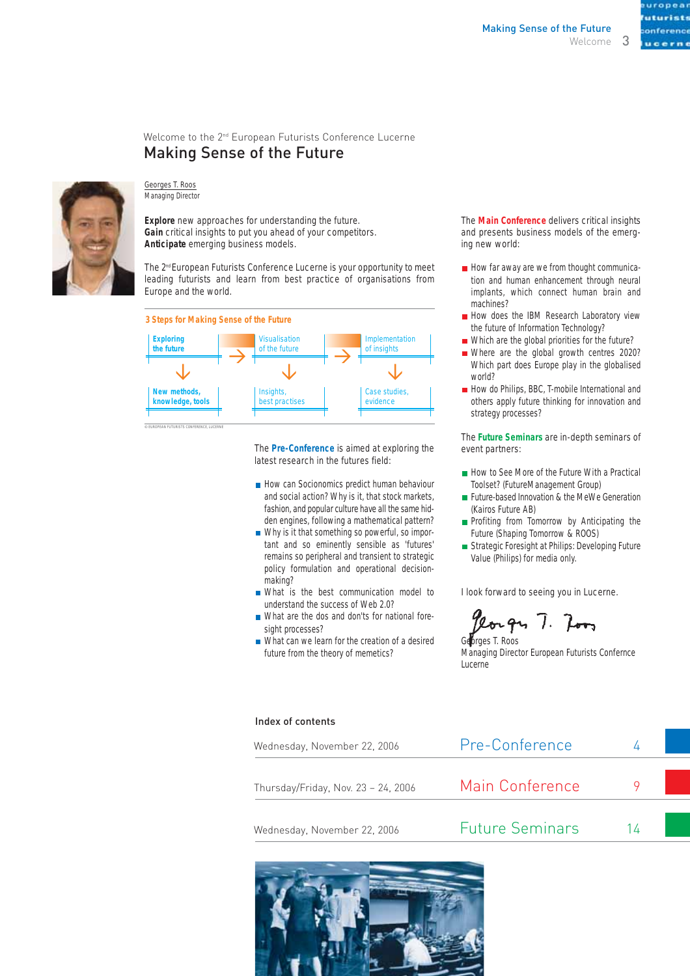3

#### Welcome to the 2nd European Futurists Conference Lucerne Making Sense of the Future



#### Georges T. Roos Managing Director

**Explore** new approaches for understanding the future. **Gain** critical insights to put you ahead of your competitors. **Anticipate** emerging business models.

The 2<sup>nd</sup> European Futurists Conference Lucerne is your opportunity to meet leading futurists and learn from best practice of organisations from Europe and the world.



The **Pre-Conference** is aimed at exploring the latest research in the futures field:

- How can Socionomics predict human behaviour and social action? Why is it, that stock markets, fashion, and popular culture have all the same hidden engines, following a mathematical pattern?
- Why is it that something so powerful, so important and so eminently sensible as 'futures' remains so peripheral and transient to strategic policy formulation and operational decisionmaking?
- What is the best communication model to understand the success of Web 2.0?
- What are the dos and don'ts for national foresight processes?
- What can we learn for the creation of a desired future from the theory of memetics?

The **Main Conference** delivers critical insights and presents business models of the emerging new world:

- $\blacksquare$  How far away are we from thought communication and human enhancement through neural implants, which connect human brain and machines?
- How does the IBM Research Laboratory view the future of Information Technology?
- Which are the global priorities for the future?
- Where are the global growth centres 2020? Which part does Europe play in the globalised world?
- How do Philips, BBC, T-mobile International and others apply future thinking for innovation and strategy processes?

The **Future Seminars** are in-depth seminars of event partners:

- How to See More of the Future With a Practical Toolset? (FutureManagement Group)
- **Future-based Innovation & the MeWe Generation** (Kairos Future AB)
- **Profiting from Tomorrow by Anticipating the** Future (Shaping Tomorrow & ROOS)
- Strategic Foresight at Philips: Developing Future Value (Philips) for media only.

I look forward to seeing you in Lucerne.

Georges T. Roos Managing Director European Futurists Confernce Lucerne

#### Index of contents

| Wednesday, November 22, 2006        | Pre-Conference         |  |  |
|-------------------------------------|------------------------|--|--|
| Thursday/Friday, Nov. 23 - 24, 2006 | Main Conference        |  |  |
| Wednesday, November 22, 2006        | <b>Future Seminars</b> |  |  |

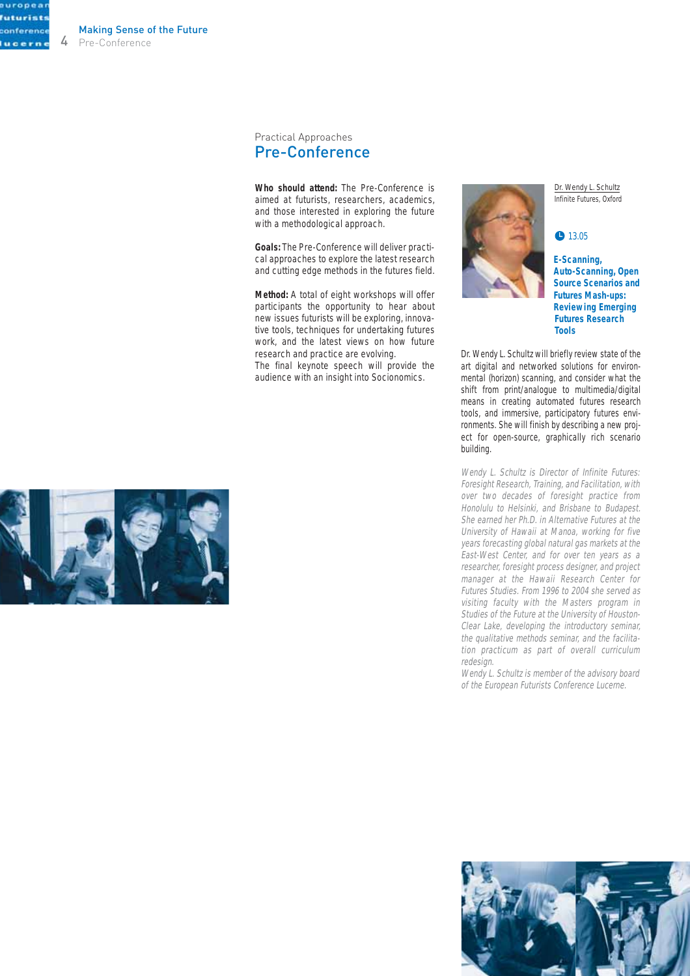onea futurist conference lucern-

Pre-Conference Making Sense of the Future

> Practical Approaches Pre-Conference

**Who should attend:** The Pre-Conference is aimed at futurists, researchers, academics, and those interested in exploring the future with a methodological approach.

**Goals:** The Pre-Conference will deliver practical approaches to explore the latest research and cutting edge methods in the futures field.

**Method:** A total of eight workshops will offer participants the opportunity to hear about new issues futurists will be exploring, innovative tools, techniques for undertaking futures work, and the latest views on how future research and practice are evolving. The final keynote speech will provide the audience with an insight into Socionomics.

Dr. Wendy L. Schultz Infinite Futures, Oxford

#### ● 13.05

**E-Scanning, Auto-Scanning, Open Source Scenarios and Futures Mash-ups: Reviewing Emerging Futures Research Tools**

Dr. Wendy L. Schultz will briefly review state of the art digital and networked solutions for environmental (horizon) scanning, and consider what the shift from print/analogue to multimedia/digital means in creating automated futures research tools, and immersive, participatory futures environments. She will finish by describing a new project for open-source, graphically rich scenario building.

Wendy L. Schultz is Director of Infinite Futures: Foresight Research, Training, and Facilitation, with over two decades of foresight practice from Honolulu to Helsinki, and Brisbane to Budapest. She earned her Ph.D. in Alternative Futures at the University of Hawaii at Manoa, working for five years forecasting global natural gas markets at the East-West Center, and for over ten years as a researcher, foresight process designer, and project manager at the Hawaii Research Center for Futures Studies. From 1996 to 2004 she served as visiting faculty with the Masters program in Studies of the Future at the University of Houston-Clear Lake, developing the introductory seminar, the qualitative methods seminar, and the facilitation practicum as part of overall curriculum redesign.

Wendy L. Schultz is member of the advisory board of the European Futurists Conference Lucerne.



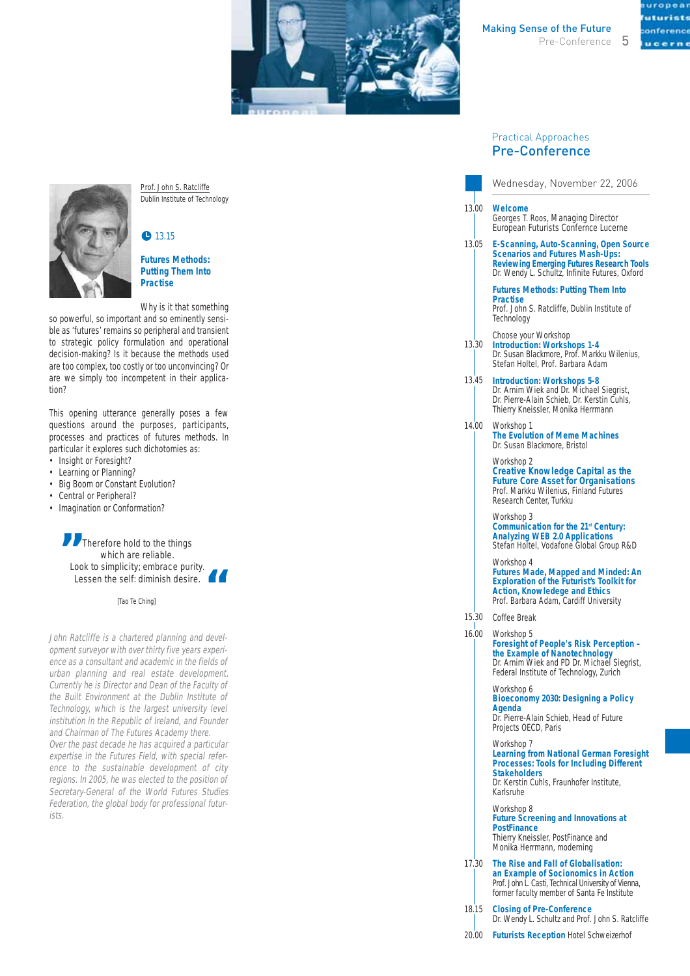

 $i$  at  $i$ onference

#### Practical Approaches Pre-Conference

|       | Wednesday, November 22, 2006                                                                                                                                                                    |
|-------|-------------------------------------------------------------------------------------------------------------------------------------------------------------------------------------------------|
| 13.00 | Welcome<br>Georges T. Roos, Managing Director<br>European Futurists Confernce Lucerne                                                                                                           |
| 13.05 | E-Scanning, Auto-Scanning, Open Source<br><b>Scenarios and Futures Mash-Ups:</b><br><b>Reviewing Emerging Futures Research Tools</b><br>Dr. Wendy L. Schultz, Infinite Futures, Oxford          |
|       | <b>Futures Methods: Putting Them Into</b><br><b>Practise</b><br>Prof. John S. Ratcliffe, Dublin Institute of<br>Technology                                                                      |
| 13.30 | Choose your Workshop<br><b>Introduction: Workshops 1-4</b><br>Dr. Susan Blackmore, Prof. Markku Wilenius,<br>Stefan Holtel, Prof. Barbara Adam                                                  |
| 13.45 | <b>Introduction: Workshops 5-8</b><br>Dr. Arnim Wiek and Dr. Michael Siegrist,<br>Dr. Pierre-Alain Schieb, Dr. Kerstin Cuhls,<br>Thierry Kneissler, Monika Herrmann                             |
| 14.00 | Workshop 1<br><b>The Evolution of Meme Machines</b><br>Dr. Susan Blackmore, Bristol                                                                                                             |
|       | Workshop 2<br><b>Creative Knowledge Capital as the</b><br><b>Future Core Asset for Organisations</b><br>Prof. Markku Wilenius, Finland Futures<br>Research Center, Turkku                       |
|       | Workshop 3<br>Communication for the 21 <sup>st</sup> Century:<br><b>Analyzing WEB 2.0 Applications</b><br>Stefan Holtel, Vodafone Global Group R&D                                              |
|       | Workshop 4<br><b>Futures Made, Mapped and Minded: An</b><br><b>Exploration of the Futurist's Toolkit for</b><br><b>Action, Knowledege and Ethics</b><br>Prof. Barbara Adam, Cardiff University  |
| 15.30 | Coffee Break                                                                                                                                                                                    |
| 16.00 | Workshop 5<br><b>Foresight of People's Risk Perception -</b><br>the Example of Nanotechnology<br>Dr. Arnim Wiek and PD Dr. Michael Siegrist,<br>Federal Institute of Technology, Zurich         |
|       | Workshop 6<br>Bioeconomy 2030: Designing a Policy<br>Agenda<br>Dr. Pierre-Alain Schieb, Head of Future<br>Projects OECD, Paris                                                                  |
|       | Workshop 7<br><b>Learning from National German Foresight</b><br><b>Processes: Tools for Including Different</b><br><b>Stakeholders</b><br>Dr. Kerstin Cuhls, Fraunhofer Institute,<br>Karlsruhe |

Workshop 8 **Future Screening and Innovations at PostFinance**  Thierry Kneissler, PostFinance and Monika Herrmann, moderning

- **The Rise and Fall of Globalisation:**  17.30 **an Example of Socionomics in Action** Prof. John L. Casti, Technical University of Vienna, former faculty member of Santa Fe Institute
- **Closing of Pre-Conference** Dr. Wendy L. Schultz and Prof. John S. Ratcliffe 18.15
- **Futurists Reception** Hotel Schweizerhof 20.00



Prof. John S. Ratcliffe Dublin Institute of Technology

#### • 13.15

#### **Futures Methods: Putting Them Into Practise**

Why is it that something

so powerful, so important and so eminently sensible as 'futures' remains so peripheral and transient to strategic policy formulation and operational decision-making? Is it because the methods used are too complex, too costly or too unconvincing? Or are we simply too incompetent in their application?

This opening utterance generally poses a few questions around the purposes, participants, processes and practices of futures methods. In particular it explores such dichotomies as:

- Insight or Foresight?
- Learning or Planning? • Big Boom or Constant Evolution?
- Central or Peripheral?
- Imagination or Conformation?

**99** Therefore hold to the things<br>which are reliable.<br>Look to simplicity; embrace puri which are reliable. Look to simplicity; embrace purity.<br>
Lessen the self: diminish desire.<br>
<sup>[Tao Te Ching]</sup> Lessen the self: diminish desire.

[Tao Te Ching]

John Ratcliffe is a chartered planning and development surveyor with over thirty five years experience as a consultant and academic in the fields of urban planning and real estate development. Currently he is Director and Dean of the Faculty of the Built Environment at the Dublin Institute of Technology, which is the largest university level institution in the Republic of Ireland, and Founder and Chairman of The Futures Academy there. Over the past decade he has acquired a particular expertise in the Futures Field, with special reference to the sustainable development of city regions. In 2005, he was elected to the position of Secretary-General of the World Futures Studies Federation, the global body for professional futurists.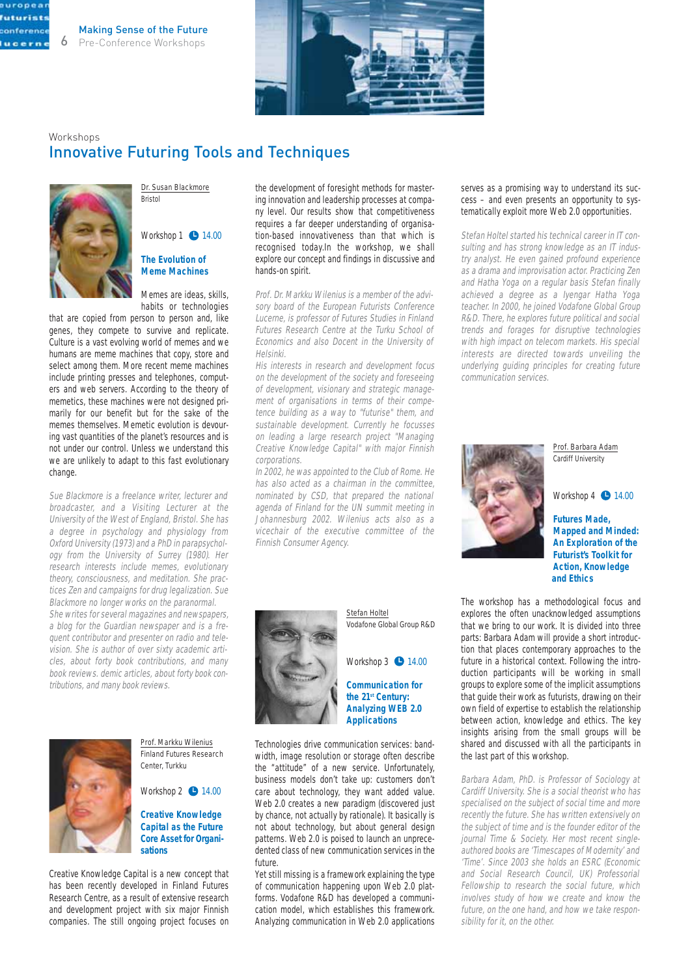

### Workshops Innovative Futuring Tools and Techniques



europea futurist conference lucern

> Dr. Susan Blackmore Bristol

Workshop  $1 \bullet 14.00$ **The Evolution of Meme Machines**

Memes are ideas, skills, habits or technologies

that are copied from person to person and, like genes, they compete to survive and replicate. Culture is a vast evolving world of memes and we humans are meme machines that copy, store and select among them. More recent meme machines include printing presses and telephones, computers and web servers. According to the theory of memetics, these machines were not designed primarily for our benefit but for the sake of the memes themselves. Memetic evolution is devouring vast quantities of the planet's resources and is not under our control. Unless we understand this we are unlikely to adapt to this fast evolutionary change.

Sue Blackmore is a freelance writer, lecturer and broadcaster, and a Visiting Lecturer at the University of the West of England, Bristol. She has a degree in psychology and physiology from Oxford University (1973) and a PhD in parapsychology from the University of Surrey (1980). Her research interests include memes, evolutionary theory, consciousness, and meditation. She practices Zen and campaigns for drug legalization. Sue Blackmore no longer works on the paranormal. She writes for several magazines and newspapers, a blog for the Guardian newspaper and is a frequent contributor and presenter on radio and television. She is author of over sixty academic articles, about forty book contributions, and many book reviews. demic articles, about forty book con-



tributions, and many book reviews.

Prof. Markku Wilenius Finland Futures Research Center, Turkku

Workshop  $2$   $\bullet$  14.00

**Creative Knowledge Capital as the Future Core Asset for Organisations**

Creative Knowledge Capital is a new concept that has been recently developed in Finland Futures Research Centre, as a result of extensive research and development project with six major Finnish companies. The still ongoing project focuses on

the development of foresight methods for mastering innovation and leadership processes at company level. Our results show that competitiveness requires a far deeper understanding of organisation-based innovativeness than that which is recognised today.In the workshop, we shall explore our concept and findings in discussive and hands-on spirit.

Prof. Dr. Markku Wilenius is a member of the advisory board of the European Futurists Conference Lucerne, is professor of Futures Studies in Finland Futures Research Centre at the Turku School of Economics and also Docent in the University of Helsinki.

His interests in research and development focus on the development of the society and foreseeing of development, visionary and strategic management of organisations in terms of their competence building as a way to "futurise" them, and sustainable development. Currently he focusses on leading a large research project "Managing Creative Knowledge Capital" with major Finnish corporations.

In 2002, he was appointed to the Club of Rome. He has also acted as a chairman in the committee, nominated by CSD, that prepared the national agenda of Finland for the UN summit meeting in Johannesburg 2002. Wilenius acts also as a vicechair of the executive committee of the Finnish Consumer Agency.



Stefan Holtel Vodafone Global Group R&D



**Communication for the 21st Century: Analyzing WEB 2.0 Applications**

Technologies drive communication services: bandwidth, image resolution or storage often describe the "attitude" of a new service. Unfortunately, business models don't take up: customers don't care about technology, they want added value. Web 2.0 creates a new paradigm (discovered just by chance, not actually by rationale). It basically is not about technology, but about general design patterns. Web 2.0 is poised to launch an unprecedented class of new communication services in the future.

Yet still missing is a framework explaining the type of communication happening upon Web 2.0 platforms. Vodafone R&D has developed a communication model, which establishes this framework. Analyzing communication in Web 2.0 applications

#### serves as a promising way to understand its success – and even presents an opportunity to systematically exploit more Web 2.0 opportunities.

Stefan Holtel started his technical career in IT consulting and has strong knowledge as an IT industry analyst. He even gained profound experience as a drama and improvisation actor. Practicing Zen and Hatha Yoga on a regular basis Stefan finally achieved a degree as a Iyengar Hatha Yoga teacher. In 2000, he joined Vodafone Global Group R&D. There, he explores future political and social trends and forages for disruptive technologies with high impact on telecom markets. His special interests are directed towards unveiling the underlying guiding principles for creating future communication services.



Prof. Barbara Adam Cardiff University

Workshop  $4 \bullet 14.00$ 

**Futures Made, Mapped and Minded: An Exploration of the Futurist's Toolkit for Action, Knowledge and Ethics**

The workshop has a methodological focus and explores the often unacknowledged assumptions that we bring to our work. It is divided into three parts: Barbara Adam will provide a short introduction that places contemporary approaches to the future in a historical context. Following the introduction participants will be working in small groups to explore some of the implicit assumptions that guide their work as futurists, drawing on their own field of expertise to establish the relationship between action, knowledge and ethics. The key insights arising from the small groups will be shared and discussed with all the participants in the last part of this workshop.

Barbara Adam, PhD. is Professor of Sociology at Cardiff University. She is a social theorist who has specialised on the subject of social time and more recently the future. She has written extensively on the subject of time and is the founder editor of the journal Time & Society. Her most recent singleauthored books are 'Timescapes of Modernity' and 'Time'. Since 2003 she holds an ESRC (Economic and Social Research Council, UK) Professorial Fellowship to research the social future, which involves study of how we create and know the future, on the one hand, and how we take responsibility for it, on the other.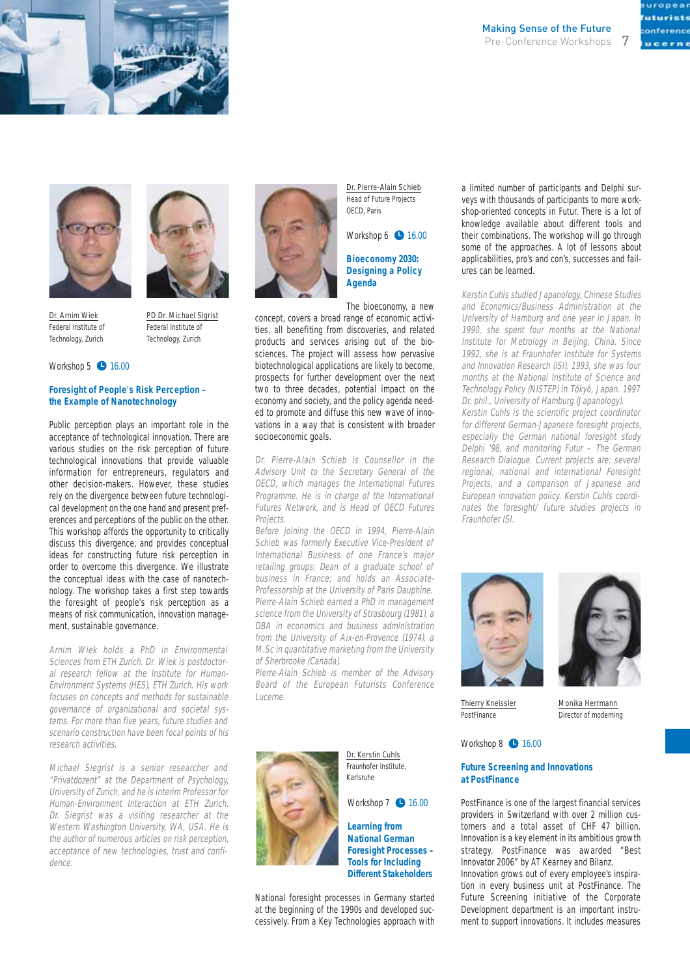





Dr. Arnim Wiek Federal Institute of Technology, Zurich

PD Dr. Michael Sigrist Federal Institute of Technology, Zurich

#### Workshop  $5$   $\bullet$  16.00

#### **Foresight of People's Risk Perception – the Example of Nanotechnology**

Public perception plays an important role in the acceptance of technological innovation. There are various studies on the risk perception of future technological innovations that provide valuable information for entrepreneurs, regulators and other decision-makers. However, these studies rely on the divergence between future technological development on the one hand and present preferences and perceptions of the public on the other. This workshop affords the opportunity to critically discuss this divergence, and provides conceptual ideas for constructing future risk perception in order to overcome this divergence. We illustrate the conceptual ideas with the case of nanotechnology. The workshop takes a first step towards the foresight of people's risk perception as a means of risk communication, innovation management, sustainable governance.

Arnim Wiek holds a PhD in Environmental Sciences from ETH Zurich. Dr. Wiek is postdoctoral research fellow at the Institute for Human-Environment Systems (HES), ETH Zurich. His work focuses on concepts and methods for sustainable governance of organizational and societal systems. For more than five years, future studies and scenario construction have been focal points of his research activities.

Michael Siegrist is a senior researcher and "Privatdozent" at the Department of Psychology, University of Zurich, and he is interim Professor for Human-Environment Interaction at ETH Zurich. Dr. Siegrist was a visiting researcher at the Western Washington University, WA, USA. He is the author of numerous articles on risk perception, acceptance of new technologies, trust and confidence.



Dr. Pierre-Alain Schieb Head of Future Projects OECD, Paris

#### Workshop 6 **1**6.00

**Bioeconomy 2030: Designing a Policy Agenda**

The bioeconomy, a new

concept, covers a broad range of economic activities, all benefiting from discoveries, and related products and services arising out of the biosciences. The project will assess how pervasive biotechnological applications are likely to become, prospects for further development over the next two to three decades, potential impact on the economy and society, and the policy agenda needed to promote and diffuse this new wave of innovations in a way that is consistent with broader socioeconomic goals.

Dr. Pierre-Alain Schieb is Counsellor in the Advisory Unit to the Secretary General of the OECD, which manages the International Futures Programme. He is in charge of the International Futures Network, and is Head of OECD Futures Projects.

Before joining the OECD in 1994, Pierre-Alain Schieb was formerly Executive Vice-President of International Business of one France's major retailing groups; Dean of a graduate school of business in France; and holds an Associate-Professorship at the University of Paris Dauphine. Pierre-Alain Schieb earned a PhD in management science from the University of Strasbourg (1981), a DBA in economics and business administration from the University of Aix-en-Provence (1974), a M.Sc in quantitative marketing from the University of Sherbrooke (Canada).

Pierre-Alain Schieb is member of the Advisory Board of the European Futurists Conference Lucerne.



Dr. Kerstin Cuhls Fraunhofer Institute, Karlsruhe

Workshop 7 **1**6.00

**Learning from National German Foresight Processes – Tools for Including Different Stakeholders**

National foresight processes in Germany started at the beginning of the 1990s and developed successively. From a Key Technologies approach with

a limited number of participants and Delphi surveys with thousands of participants to more workshop-oriented concepts in Futur. There is a lot of knowledge available about different tools and their combinations. The workshop will go through some of the approaches. A lot of lessons about applicabilities, pro's and con's, successes and failures can be learned.

Kerstin Cuhls studied Japanology, Chinese Studies and Economics/Business Administration at the University of Hamburg and one year in Japan. In 1990, she spent four months at the National Institute for Metrology in Beijing, China. Since 1992, she is at Fraunhofer Institute for Systems and Innovation Research (ISI). 1993, she was four months at the National Institute of Science and Technology Policy (NISTEP) in Tôkyô, Japan. 1997 Dr. phil., University of Hamburg (Japanology). Kerstin Cuhls is the scientific project coordinator for different German-Japanese foresight projects, especially the German national foresight study Delphi '98, and monitoring Futur – The German Research Dialogue. Current projects are: several regional, national and international Foresight Projects, and a comparison of Japanese and European innovation policy. Kerstin Cuhls coordinates the foresight/ future studies projects in Fraunhofer ISI.



Thierry Kneissler PostFinance



Monika Herrmann Director of moderning

Workshop 8 **1**6.00

#### **Future Screening and Innovations at PostFinance**

PostFinance is one of the largest financial services providers in Switzerland with over 2 million customers and a total asset of CHF 47 billion. Innovation is a key element in its ambitious growth strategy. PostFinance was awarded "Best Innovator 2006" by AT Kearney and Bilanz.

Innovation grows out of every employee's inspiration in every business unit at PostFinance. The Future Screening initiative of the Corporate Development department is an important instrument to support innovations. It includes measures

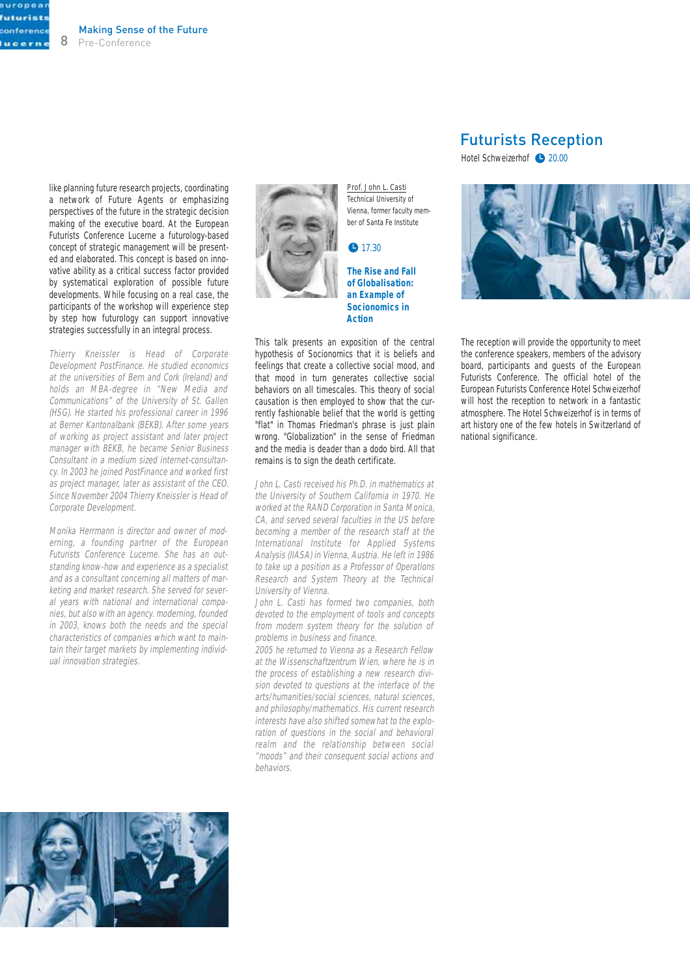europea **futurists** conference lucern

> like planning future research projects, coordinating a network of Future Agents or emphasizing perspectives of the future in the strategic decision making of the executive board. At the European Futurists Conference Lucerne a futurology-based concept of strategic management will be presented and elaborated. This concept is based on innovative ability as a critical success factor provided by systematical exploration of possible future developments. While focusing on a real case, the participants of the workshop will experience step by step how futurology can support innovative strategies successfully in an integral process.

> Thierry Kneissler is Head of Corporate Development PostFinance. He studied economics at the universities of Bern and Cork (Ireland) and holds an MBA-degree in "New Media and Communications" of the University of St. Gallen (HSG). He started his professional career in 1996 at Berner Kantonalbank (BEKB). After some years of working as project assistant and later project manager with BEKB, he became Senior Business Consultant in a medium sized internet-consultancy. In 2003 he joined PostFinance and worked first as project manager, later as assistant of the CEO. Since November 2004 Thierry Kneissler is Head of Corporate Development.

> Monika Herrmann is director and owner of moderning, a founding partner of the European Futurists Conference Lucerne. She has an outstanding know-how and experience as a specialist and as a consultant concerning all matters of marketing and market research. She served for several years with national and international companies, but also with an agency. moderning, founded in 2003, knows both the needs and the special characteristics of companies which want to maintain their target markets by implementing individual innovation strategies.



Prof. John L. Casti Technical University of Vienna, former faculty member of Santa Fe Institute

#### $• 17.30$

**The Rise and Fall of Globalisation: an Example of Socionomics in Action**

This talk presents an exposition of the central hypothesis of Socionomics that it is beliefs and feelings that create a collective social mood, and that mood in turn generates collective social behaviors on all timescales. This theory of social causation is then employed to show that the currently fashionable belief that the world is getting "flat" in Thomas Friedman's phrase is just plain wrong. "Globalization" in the sense of Friedman and the media is deader than a dodo bird. All that remains is to sign the death certificate.

John L. Casti received his Ph.D. in mathematics at the University of Southern California in 1970. He worked at the RAND Corporation in Santa Monica, CA, and served several faculties in the US before becoming a member of the research staff at the International Institute for Applied Systems Analysis (IIASA) in Vienna, Austria. He left in 1986 to take up a position as a Professor of Operations Research and System Theory at the Technical University of Vienna.

John L. Casti has formed two companies, both devoted to the employment of tools and concepts from modern system theory for the solution of problems in business and finance.

2005 he returned to Vienna as a Research Fellow at the Wissenschaftzentrum Wien, where he is in the process of establishing a new research division devoted to questions at the interface of the arts/humanities/social sciences, natural sciences, and philosophy/mathematics. His current research interests have also shifted somewhat to the exploration of questions in the social and behavioral realm and the relationship between social "moods" and their consequent social actions and behaviors.

### Futurists Reception

Hotel Schweizerhof <sup>20.00</sup>



The reception will provide the opportunity to meet the conference speakers, members of the advisory board, participants and guests of the European Futurists Conference. The official hotel of the European Futurists Conference Hotel Schweizerhof will host the reception to network in a fantastic atmosphere. The Hotel Schweizerhof is in terms of art history one of the few hotels in Switzerland of national significance.

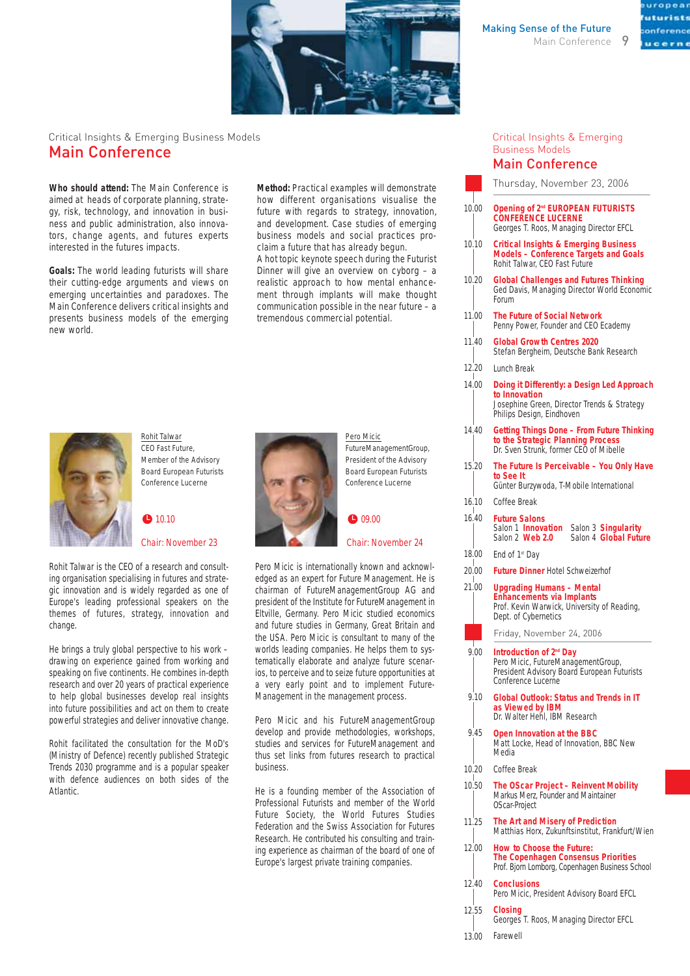

Critical Insights & Emerging Business Models Main Conference

**Who should attend:** The Main Conference is aimed at heads of corporate planning, strategy, risk, technology, and innovation in business and public administration, also innovators, change agents, and futures experts interested in the futures impacts.

**Goals:** The world leading futurists will share their cutting-edge arguments and views on emerging uncertainties and paradoxes. The Main Conference delivers critical insights and presents business models of the emerging new world.

**Method:** Practical examples will demonstrate how different organisations visualise the future with regards to strategy, innovation, and development. Case studies of emerging business models and social practices proclaim a future that has already begun. A hot topic keynote speech during the Futurist Dinner will give an overview on cyborg – a realistic approach to how mental enhancement through implants will make thought communication possible in the near future – a tremendous commercial potential.



Rohit Talwar CEO Fast Future, Member of the Advisory Board European Futurists Conference Lucerne

 $10.10$ 

Chair: November 23

Rohit Talwar is the CEO of a research and consulting organisation specialising in futures and strategic innovation and is widely regarded as one of Europe's leading professional speakers on the themes of futures, strategy, innovation and change.

He brings a truly global perspective to his work – drawing on experience gained from working and speaking on five continents. He combines in-depth research and over 20 years of practical experience to help global businesses develop real insights into future possibilities and act on them to create powerful strategies and deliver innovative change.

Rohit facilitated the consultation for the MoD's (Ministry of Defence) recently published Strategic Trends 2030 programme and is a popular speaker with defence audiences on both sides of the Atlantic.



Pero Micic FutureManagementGroup, President of the Advisory Board European Futurists Conference Lucerne

#### $\bullet$  09.00

#### Chair: November 24

Pero Micic is internationally known and acknowledged as an expert for Future Management. He is chairman of FutureManagementGroup AG and president of the Institute for FutureManagement in Eltville, Germany. Pero Micic studied economics and future studies in Germany, Great Britain and the USA. Pero Micic is consultant to many of the worlds leading companies. He helps them to systematically elaborate and analyze future scenarios, to perceive and to seize future opportunities at a very early point and to implement Future-Management in the management process.

Pero Micic and his FutureManagementGroup develop and provide methodologies, workshops, studies and services for FutureManagement and thus set links from futures research to practical business.

He is a founding member of the Association of Professional Futurists and member of the World Future Society, the World Futures Studies Federation and the Swiss Association for Futures Research. He contributed his consulting and training experience as chairman of the board of one of Europe's largest private training companies.

#### Critical Insights & Emerging Business Models Main Conference

Thursday, November 23, 2006

| 10.00      | Opening of 2 <sup>nd</sup> EUROPEAN FUTURISTS<br><b>CONFERENCE LUCERNE</b><br>Georges T. Roos, Managing Director EFCL                                                                |  |  |  |  |
|------------|--------------------------------------------------------------------------------------------------------------------------------------------------------------------------------------|--|--|--|--|
| 10.10      | <b>Critical Insights &amp; Emerging Business</b><br><b>Models - Conference Targets and Goals</b><br>Rohit Talwar, CEO Fast Future                                                    |  |  |  |  |
| 10.20      | <b>Global Challenges and Futures Thinking</b><br>Ged Davis, Managing Director World Economic<br>Forum                                                                                |  |  |  |  |
| 11.00      | <b>The Future of Social Network</b><br>Penny Power, Founder and CEO Ecademy                                                                                                          |  |  |  |  |
| 11.40      | <b>Global Growth Centres 2020</b><br>Stefan Bergheim, Deutsche Bank Research                                                                                                         |  |  |  |  |
| 12,20      | Lunch Break                                                                                                                                                                          |  |  |  |  |
| 14.00      | Doing it Differently: a Design Led Approach<br>to Innovation<br>Josephine Green, Director Trends & Strategy<br>Philips Design, Eindhoven                                             |  |  |  |  |
| 14.40      | <b>Getting Things Done - From Future Thinking</b><br>to the Strategic Planning Process<br>Dr. Sven Strunk, former CEO of Mibelle                                                     |  |  |  |  |
| 15.20      | The Future Is Perceivable - You Only Have<br>to See It<br>Günter Burzywoda, T-Mobile International                                                                                   |  |  |  |  |
| 16.10      | Coffee Break                                                                                                                                                                         |  |  |  |  |
| 16.40      | <b>Future Salons</b><br>Salon 1 <b>Innovation</b> Salon 3 <b>Singularity</b><br>Salon 4 Global Future<br>Salon 2 Web 2.0                                                             |  |  |  |  |
| 18.00      | End of 1 <sup>st</sup> Day                                                                                                                                                           |  |  |  |  |
| 20.00      | <b>Future Dinner Hotel Schweizerhof</b>                                                                                                                                              |  |  |  |  |
| т<br>21.00 | Upgrading Humans – Mental<br><b>Enhancements via Implants</b><br>Prof. Kevin Warwick, University of Reading,<br>Dept. of Cybernetics                                                 |  |  |  |  |
|            | Friday, November 24, 2006                                                                                                                                                            |  |  |  |  |
| 9.00       | Introduction of 2 <sup>nd</sup> Day<br>Pero Micic, FutureManagementGroup,<br>President Advisory Board European Futurists<br>Conference Lucerne                                       |  |  |  |  |
| 9.10       | <b>Global Outlook: Status and Trends in IT</b><br>as Viewed by IBM<br>Dr. Walter Hehl, IBM Research                                                                                  |  |  |  |  |
| 9.45       |                                                                                                                                                                                      |  |  |  |  |
|            | Open Innovation at the BBC<br>Matt Locke, Head of Innovation, BBC New<br>Media                                                                                                       |  |  |  |  |
| 10.20      | Coffee Break                                                                                                                                                                         |  |  |  |  |
| 10.50      | The OScar Project – Reinvent Mobility<br>Markus Merz, Founder and Maintainer<br>OScar-Project                                                                                        |  |  |  |  |
| 11.25      | The Art and Misery of Prediction                                                                                                                                                     |  |  |  |  |
| 12.00      | Matthias Horx, Zukunftsinstitut, Frankfurt/Wien<br><b>How to Choose the Future:</b><br><b>The Copenhagen Consensus Priorities</b><br>Prof. Bjorn Lomborg, Copenhagen Business School |  |  |  |  |

- **Conclusions** Pero Micic, President Advisory Board EFCL **Closing** 12.40 12.55
	- Georges T. Roos, Managing Director EFCL
- Farewell 13.00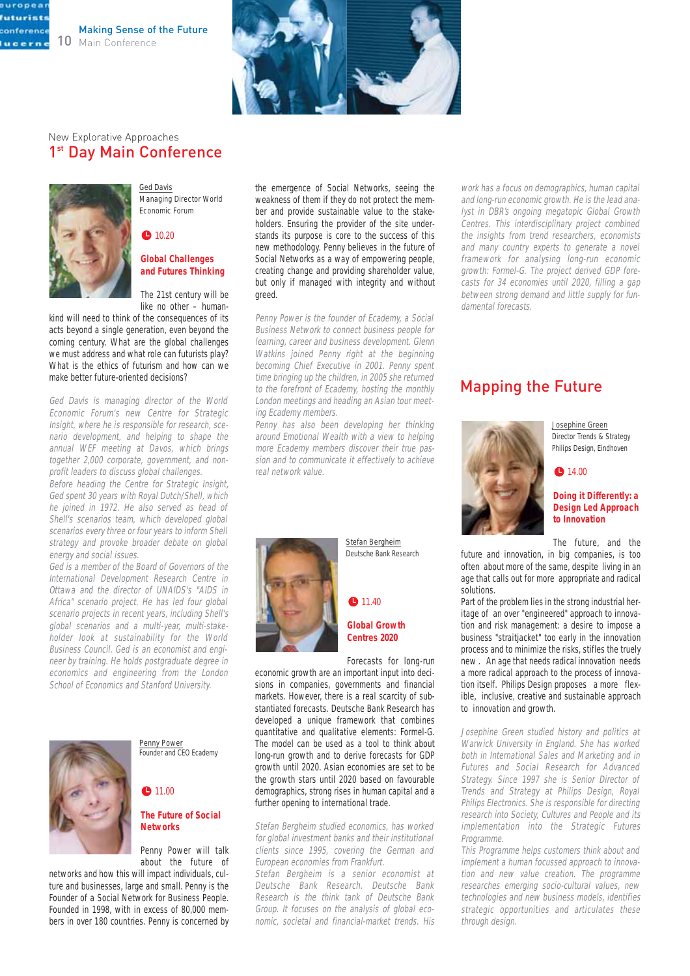



#### New Explorative Approaches 1<sup>st</sup> Day Main Conference



europea futurist conference lucerne

> Ged Davis Managing Director World Economic Forum

#### $\bullet$  10.20

#### **Global Challenges and Futures Thinking**

The 21st century will be like no other – human-

kind will need to think of the consequences of its acts beyond a single generation, even beyond the coming century. What are the global challenges we must address and what role can futurists play? What is the ethics of futurism and how can we make better future-oriented decisions?

Ged Davis is managing director of the World Economic Forum's new Centre for Strategic Insight, where he is responsible for research, scenario development, and helping to shape the annual WEF meeting at Davos, which brings together 2,000 corporate, government, and nonprofit leaders to discuss global challenges.

Before heading the Centre for Strategic Insight, Ged spent 30 years with Royal Dutch/Shell, which he joined in 1972. He also served as head of Shell's scenarios team, which developed global scenarios every three or four years to inform Shell strategy and provoke broader debate on global energy and social issues.

Ged is a member of the Board of Governors of the International Development Research Centre in Ottawa and the director of UNAIDS's "AIDS in Africa" scenario project. He has led four global scenario projects in recent years, including Shell's global scenarios and a multi-year, multi-stakeholder look at sustainability for the World Business Council. Ged is an economist and engineer by training. He holds postgraduate degree in economics and engineering from the London School of Economics and Stanford University.



Penny Power Founder and CEO Ecademy

## $\bullet$  11.00

#### **The Future of Social Networks**

Penny Power will talk about the future of

networks and how this will impact individuals, culture and businesses, large and small. Penny is the Founder of a Social Network for Business People. Founded in 1998, with in excess of 80,000 members in over 180 countries. Penny is concerned by

the emergence of Social Networks, seeing the weakness of them if they do not protect the member and provide sustainable value to the stakeholders. Ensuring the provider of the site understands its purpose is core to the success of this new methodology. Penny believes in the future of Social Networks as a way of empowering people, creating change and providing shareholder value, but only if managed with integrity and without greed.

Penny Power is the founder of Ecademy, a Social Business Network to connect business people for learning, career and business development. Glenn Watkins joined Penny right at the beginning becoming Chief Executive in 2001. Penny spent time bringing up the children, in 2005 she returned to the forefront of Ecademy, hosting the monthly London meetings and heading an Asian tour meeting Ecademy members.

Penny has also been developing her thinking around Emotional Wealth with a view to helping more Ecademy members discover their true passion and to communicate it effectively to achieve real network value.



 $911.40$ **Global Growth**

Stefan Bergheim Deutsche Bank Research

**Centres 2020**

Forecasts for long-run economic growth are an important input into deci-

sions in companies, governments and financial markets. However, there is a real scarcity of substantiated forecasts. Deutsche Bank Research has developed a unique framework that combines quantitative and qualitative elements: Formel-G. The model can be used as a tool to think about long-run growth and to derive forecasts for GDP growth until 2020. Asian economies are set to be the growth stars until 2020 based on favourable demographics, strong rises in human capital and a further opening to international trade.

Stefan Bergheim studied economics, has worked for global investment banks and their institutional clients since 1995, covering the German and European economies from Frankfurt.

Stefan Bergheim is a senior economist at Deutsche Bank Research. Deutsche Bank Research is the think tank of Deutsche Bank Group. It focuses on the analysis of global economic, societal and financial-market trends. His

work has a focus on demographics, human capital and long-run economic growth. He is the lead analyst in DBR's ongoing megatopic Global Growth Centres. This interdisciplinary project combined the insights from trend researchers, economists and many country experts to generate a novel framework for analysing long-run economic growth: Formel-G. The project derived GDP forecasts for 34 economies until 2020, filling a gap between strong demand and little supply for fundamental forecasts.

### Mapping the Future



Josephine Green Director Trends & Strategy Philips Design, Eindhoven

#### ● 14.00

#### **Doing it Differently: a Design Led Approach to Innovation**

The future, and the

future and innovation, in big companies, is too often about more of the same, despite living in an age that calls out for more appropriate and radical solutions.

Part of the problem lies in the strong industrial heritage of an over "engineered" approach to innovation and risk management: a desire to impose a business "straitjacket" too early in the innovation process and to minimize the risks, stifles the truely new . An age that needs radical innovation needs a more radical approach to the process of innovation itself. Philips Design proposes a more flexible, inclusive, creative and sustainable approach to innovation and growth.

Josephine Green studied history and politics at Warwick University in England. She has worked both in International Sales and Marketing and in Futures and Social Research for Advanced Strategy. Since 1997 she is Senior Director of Trends and Strategy at Philips Design, Royal Philips Electronics. She is responsible for directing research into Society, Cultures and People and its implementation into the Strategic Futures Programme.

This Programme helps customers think about and implement a human focussed approach to innovation and new value creation. The programme researches emerging socio-cultural values, new technologies and new business models, identifies strategic opportunities and articulates these through design.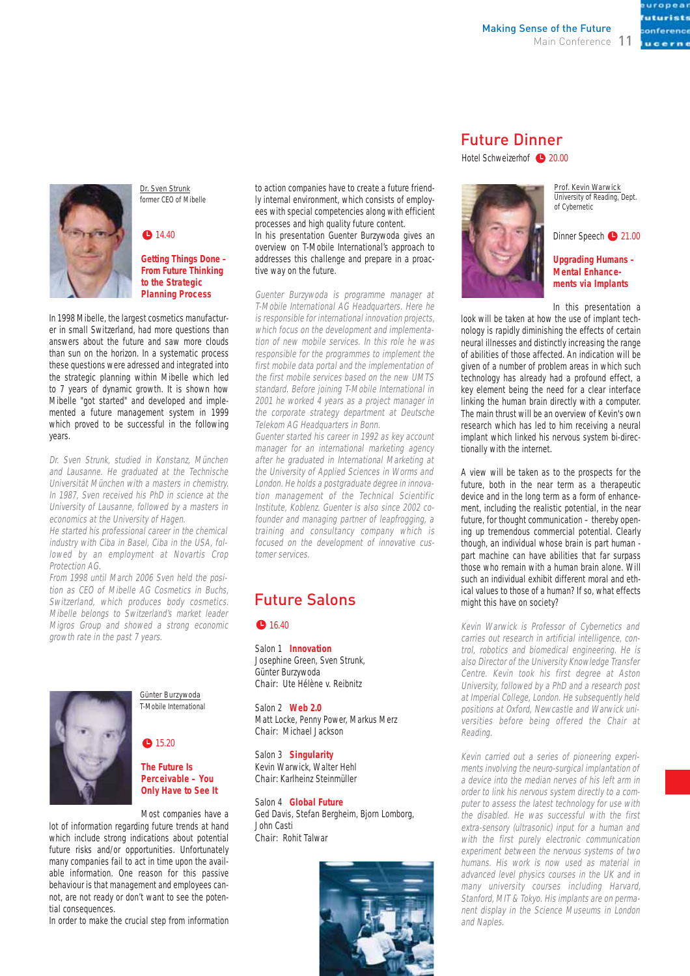uturists onference ucerne

Dr. Sven Strunk former CEO of Mibelle

#### $914.40$

**Getting Things Done – From Future Thinking to the Strategic Planning Process**

In 1998 Mibelle, the largest cosmetics manufacturer in small Switzerland, had more questions than answers about the future and saw more clouds than sun on the horizon. In a systematic process these questions were adressed and integrated into the strategic planning within Mibelle which led to 7 years of dynamic growth. It is shown how Mibelle "got started" and developed and implemented a future management system in 1999 which proved to be successful in the following years.

Dr. Sven Strunk, studied in Konstanz, München and Lausanne. He graduated at the Technische Universität München with a masters in chemistry. In 1987, Sven received his PhD in science at the University of Lausanne, followed by a masters in economics at the University of Hagen.

He started his professional career in the chemical industry with Ciba in Basel, Ciba in the USA, followed by an employment at Novartis Crop Protection AG.

From 1998 until March 2006 Sven held the position as CEO of Mibelle AG Cosmetics in Buchs, Switzerland, which produces body cosmetics. Mibelle belongs to Switzerland's market leader Migros Group and showed a strong economic growth rate in the past 7 years.



Günter Burzywoda T-Mobile International

#### $915.20$

#### **The Future Is Perceivable – You Only Have to See It**

Most companies have a

lot of information regarding future trends at hand which include strong indications about potential future risks and/or opportunities. Unfortunately many companies fail to act in time upon the available information. One reason for this passive behaviour is that management and employees cannot, are not ready or don't want to see the potential consequences.

In order to make the crucial step from information

to action companies have to create a future friendly internal environment, which consists of employees with special competencies along with efficient processes and high quality future content.

In his presentation Guenter Burzywoda gives an overview on T-Mobile International's approach to addresses this challenge and prepare in a proactive way on the future.

Guenter Burzywoda is programme manager at T-Mobile International AG Headquarters. Here he is responsible for international innovation projects, which focus on the development and implementation of new mobile services. In this role he was responsible for the programmes to implement the first mobile data portal and the implementation of the first mobile services based on the new UMTS standard. Before joining T-Mobile International in 2001 he worked 4 years as a project manager in the corporate strategy department at Deutsche Telekom AG Headquarters in Bonn.

Guenter started his career in 1992 as key account manager for an international marketing agency after he graduated in International Marketing at the University of Applied Sciences in Worms and London. He holds a postgraduate degree in innovation management of the Technical Scientific Institute, Koblenz. Guenter is also since 2002 cofounder and managing partner of leapfrogging, a training and consultancy company which is focused on the development of innovative customer services.

## Future Salons

#### **1**6.40

Salon 1 **Innovation** Josephine Green, Sven Strunk, Günter Burzywoda Chair: Ute Hélène v. Reibnitz

Salon 2 **Web 2.0** Matt Locke, Penny Power, Markus Merz Chair: Michael Jackson

Salon 3 **Singularity** Kevin Warwick, Walter Hehl Chair: Karlheinz Steinmüller

Salon 4 **Global Future** Ged Davis, Stefan Bergheim, Bjorn Lomborg, John Casti Chair: Rohit Talwar



## Future Dinner

#### Hotel Schweizerhof **20.00**



Prof. Kevin Warwick University of Reading, Dept. of Cybernetic

Dinner Speech 21.00

#### **Upgrading Humans – Mental Enhancements via Implants**

In this presentation a

look will be taken at how the use of implant technology is rapidly diminishing the effects of certain neural illnesses and distinctly increasing the range of abilities of those affected. An indication will be given of a number of problem areas in which such technology has already had a profound effect, a key element being the need for a clear interface linking the human brain directly with a computer. The main thrust will be an overview of Kevin's own research which has led to him receiving a neural implant which linked his nervous system bi-directionally with the internet.

A view will be taken as to the prospects for the future, both in the near term as a therapeutic device and in the long term as a form of enhancement, including the realistic potential, in the near future, for thought communication – thereby opening up tremendous commercial potential. Clearly though, an individual whose brain is part human part machine can have abilities that far surpass those who remain with a human brain alone. Will such an individual exhibit different moral and ethical values to those of a human? If so, what effects might this have on society?

Kevin Warwick is Professor of Cybernetics and carries out research in artificial intelligence, control, robotics and biomedical engineering. He is also Director of the University Knowledge Transfer Centre. Kevin took his first degree at Aston University, followed by a PhD and a research post at Imperial College, London. He subsequently held positions at Oxford, Newcastle and Warwick universities before being offered the Chair at Reading.

Kevin carried out a series of pioneering experiments involving the neuro-surgical implantation of a device into the median nerves of his left arm in order to link his nervous system directly to a computer to assess the latest technology for use with the disabled. He was successful with the first extra-sensory (ultrasonic) input for a human and with the first purely electronic communication experiment between the nervous systems of two humans. His work is now used as material in advanced level physics courses in the UK and in many university courses including Harvard, Stanford, MIT & Tokyo. His implants are on permanent display in the Science Museums in London and Naples.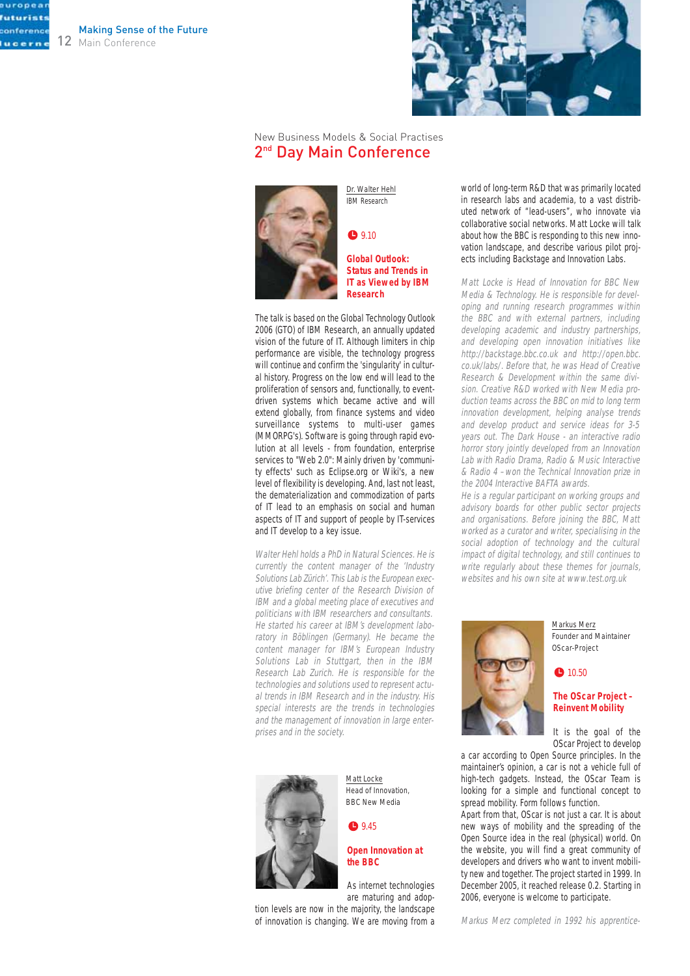europea futurist conference lucern

12 Main Conference Making Sense of the Future



#### New Business Models & Social Practises 2<sup>nd</sup> Day Main Conference



Dr. Walter Hehl IBM Research

 $9.10$ 

**Global Outlook: Status and Trends in IT as Viewed by IBM Research**

The talk is based on the Global Technology Outlook 2006 (GTO) of IBM Research, an annually updated vision of the future of IT. Although limiters in chip performance are visible, the technology progress will continue and confirm the 'singularity' in cultural history. Progress on the low end will lead to the proliferation of sensors and, functionally, to eventdriven systems which became active and will extend globally, from finance systems and video surveillance systems to multi-user games (MMORPG's). Software is going through rapid evolution at all levels - from foundation, enterprise services to "Web 2.0": Mainly driven by 'community effects' such as Eclipse.org or Wiki's, a new level of flexibility is developing. And, last not least, the dematerialization and commodization of parts of IT lead to an emphasis on social and human aspects of IT and support of people by IT-services and IT develop to a key issue.

Walter Hehl holds a PhD in Natural Sciences. He is currently the content manager of the 'Industry Solutions Lab Zürich'. This Lab is the European executive briefing center of the Research Division of IBM and a global meeting place of executives and politicians with IBM researchers and consultants. He started his career at IBM's development laboratory in Böblingen (Germany). He became the content manager for IBM's European Industry Solutions Lab in Stuttgart, then in the IBM Research Lab Zurich. He is responsible for the technologies and solutions used to represent actual trends in IBM Research and in the industry. His special interests are the trends in technologies and the management of innovation in large enterprises and in the society.



Matt Locke Head of Innovation, BBC New Media

● 9.45

#### **Open Innovation at the BBC**

As internet technologies are maturing and adop-

tion levels are now in the majority, the landscape of innovation is changing. We are moving from a

world of long-term R&D that was primarily located in research labs and academia, to a vast distributed network of "lead-users", who innovate via collaborative social networks. Matt Locke will talk about how the BBC is responding to this new innovation landscape, and describe various pilot projects including Backstage and Innovation Labs.

Matt Locke is Head of Innovation for BBC New Media & Technology. He is responsible for developing and running research programmes within the BBC and with external partners, including developing academic and industry partnerships, and developing open innovation initiatives like http://backstage.bbc.co.uk and http://open.bbc. co.uk/labs/. Before that, he was Head of Creative Research & Development within the same division. Creative R&D worked with New Media production teams across the BBC on mid to long term innovation development, helping analyse trends and develop product and service ideas for 3-5 years out. The Dark House - an interactive radio horror story jointly developed from an Innovation Lab with Radio Drama, Radio & Music Interactive & Radio 4 –won the Technical Innovation prize in the 2004 Interactive BAFTA awards.

He is a regular participant on working groups and advisory boards for other public sector projects and organisations. Before joining the BBC, Matt worked as a curator and writer, specialising in the social adoption of technology and the cultural impact of digital technology, and still continues to write regularly about these themes for journals, websites and his own site at www.test.org.uk



Markus Merz Founder and Maintainer OScar-Project

#### • 10.50

#### **The OScar Project – Reinvent Mobility**

It is the goal of the OScar Project to develop

a car according to Open Source principles. In the maintainer's opinion, a car is not a vehicle full of high-tech gadgets. Instead, the OScar Team is looking for a simple and functional concept to spread mobility. Form follows function.

Apart from that, OScar is not just a car. It is about new ways of mobility and the spreading of the Open Source idea in the real (physical) world. On the website, you will find a great community of developers and drivers who want to invent mobility new and together. The project started in 1999. In December 2005, it reached release 0.2. Starting in 2006, everyone is welcome to participate.

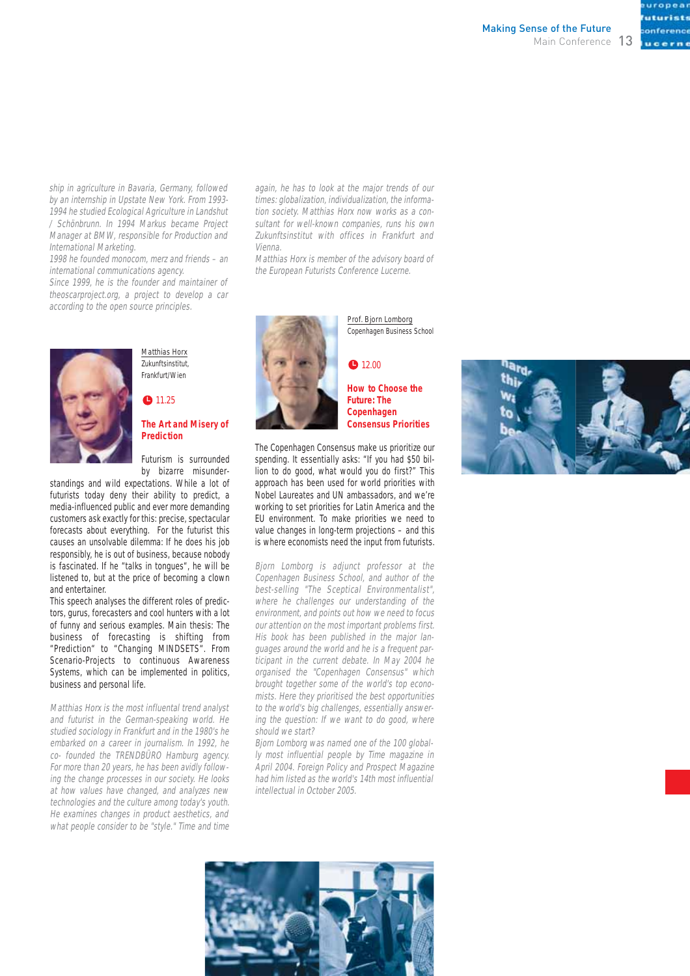onference ucerne

ship in agriculture in Bavaria, Germany, followed by an internship in Upstate New York. From 1993- 1994 he studied Ecological Agriculture in Landshut / Schönbrunn. In 1994 Markus became Project Manager at BMW, responsible for Production and International Marketing.

1998 he founded monocom, merz and friends – an international communications agency.

Since 1999, he is the founder and maintainer of theoscarproject.org, a project to develop a car according to the open source principles.



## **1**1.25

Matthias Horx Zukunftsinstitut, Frankfurt/Wien

#### **The Art and Misery of Prediction**

Futurism is surrounded by bizarre misunder-

standings and wild expectations. While a lot of futurists today deny their ability to predict, a media-influenced public and ever more demanding customers ask exactly for this: precise, spectacular forecasts about everything. For the futurist this causes an unsolvable dilemma: If he does his job responsibly, he is out of business, because nobody is fascinated. If he "talks in tongues", he will be listened to, but at the price of becoming a clown and entertainer.

This speech analyses the different roles of predictors, gurus, forecasters and cool hunters with a lot of funny and serious examples. Main thesis: The business of forecasting is shifting from "Prediction" to "Changing MINDSETS". From Scenario-Projects to continuous Awareness Systems, which can be implemented in politics, business and personal life.

Matthias Horx is the most influental trend analyst and futurist in the German-speaking world. He studied sociology in Frankfurt and in the 1980's he embarked on a career in journalism. In 1992, he co- founded the TRENDBÜRO Hamburg agency. For more than 20 years, he has been avidly following the change processes in our society. He looks at how values have changed, and analyzes new technologies and the culture among today's youth. He examines changes in product aesthetics, and what people consider to be "style." Time and time

again, he has to look at the major trends of our times: globalization, individualization, the information society. Matthias Horx now works as a consultant for well-known companies, runs his own Zukunftsinstitut with offices in Frankfurt and Vienna.

Matthias Horx is member of the advisory board of the European Futurists Conference Lucerne.



Copenhagen Business School

Prof. Bjorn Lomborg

#### $12.00$

**How to Choose the Future: The Copenhagen Consensus Priorities**

The Copenhagen Consensus make us prioritize our spending. It essentially asks: "If you had \$50 billion to do good, what would you do first?" This approach has been used for world priorities with Nobel Laureates and UN ambassadors, and we're working to set priorities for Latin America and the EU environment. To make priorities we need to value changes in long-term projections – and this is where economists need the input from futurists.

Bjorn Lomborg is adjunct professor at the Copenhagen Business School, and author of the best-selling "The Sceptical Environmentalist", where he challenges our understanding of the environment, and points out how we need to focus our attention on the most important problems first. His book has been published in the major languages around the world and he is a frequent participant in the current debate. In May 2004 he organised the "Copenhagen Consensus" which brought together some of the world's top economists. Here they prioritised the best opportunities to the world's big challenges, essentially answering the question: If we want to do good, where should we start?

Bjorn Lomborg was named one of the 100 globally most influential people by Time magazine in April 2004. Foreign Policy and Prospect Magazine had him listed as the world's 14th most influential intellectual in October 2005.



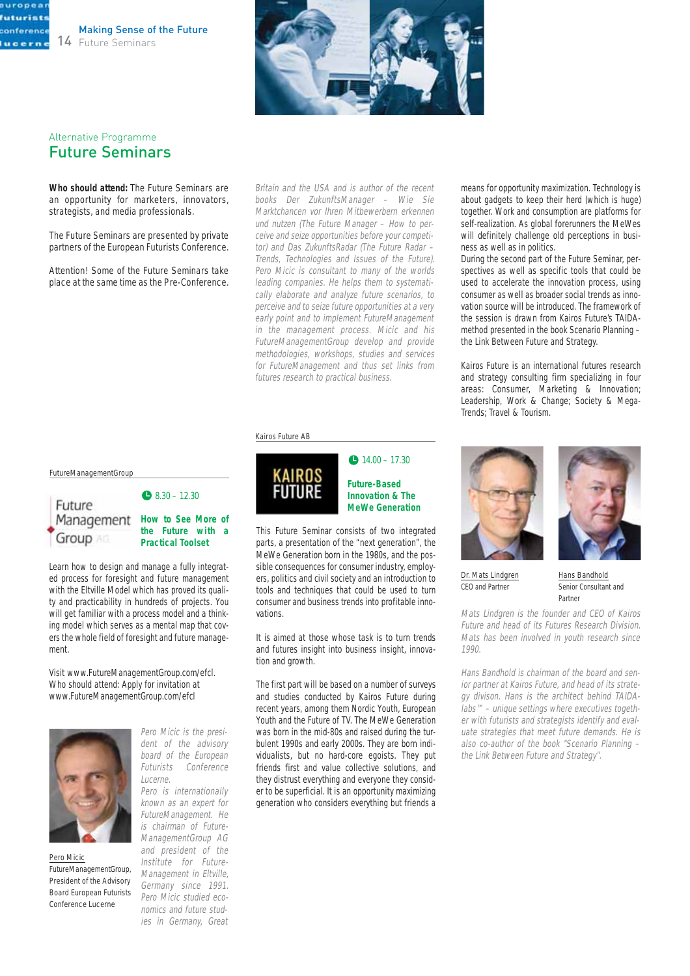



### Alternative Programme Future Seminars

uropea **futurists** conference lucerne

> **Who should attend:** The Future Seminars are an opportunity for marketers, innovators, strategists, and media professionals.

> The Future Seminars are presented by private partners of the European Futurists Conference.

> Attention! Some of the Future Seminars take place at the same time as the Pre-Conference.

Britain and the USA and is author of the recent books Der ZukunftsManager – Wie Sie Marktchancen vor Ihren Mitbewerbern erkennen und nutzen (The Future Manager – How to perceive and seize opportunities before your competitor) and Das ZukunftsRadar (The Future Radar – Trends, Technologies and Issues of the Future). Pero Micic is consultant to many of the worlds leading companies. He helps them to systematically elaborate and analyze future scenarios, to perceive and to seize future opportunities at a very early point and to implement FutureManagement in the management process. Micic and his FutureManagementGroup develop and provide methodologies, workshops, studies and services for FutureManagement and thus set links from futures research to practical business.

#### Kairos Future AB



#### $14.00 - 17.30$ **Future-Based Innovation & The MeWe Generation**

This Future Seminar consists of two integrated parts, a presentation of the "next generation", the MeWe Generation born in the 1980s, and the possible consequences for consumer industry, employers, politics and civil society and an introduction to tools and techniques that could be used to turn consumer and business trends into profitable innovations.

It is aimed at those whose task is to turn trends and futures insight into business insight, innovation and growth.

The first part will be based on a number of surveys and studies conducted by Kairos Future during recent years, among them Nordic Youth, European Youth and the Future of TV. The MeWe Generation was born in the mid-80s and raised during the turbulent 1990s and early 2000s. They are born individualists, but no hard-core egoists. They put friends first and value collective solutions, and they distrust everything and everyone they consider to be superficial. It is an opportunity maximizing generation who considers everything but friends a

means for opportunity maximization. Technology is about gadgets to keep their herd (which is huge) together. Work and consumption are platforms for self-realization. As global forerunners the MeWes will definitely challenge old perceptions in business as well as in politics.

During the second part of the Future Seminar, perspectives as well as specific tools that could be used to accelerate the innovation process, using consumer as well as broader social trends as innovation source will be introduced. The framework of the session is drawn from Kairos Future's TAIDAmethod presented in the book Scenario Planning – the Link Between Future and Strategy.

Kairos Future is an international futures research and strategy consulting firm specializing in four areas: Consumer, Marketing & Innovation; Leadership, Work & Change; Society & Mega-Trends; Travel & Tourism.



Dr. Mats Lindgren CEO and Partner

Hans Bandhold Senior Consultant and Partner

Mats Lindgren is the founder and CEO of Kairos Future and head of its Futures Research Division. Mats has been involved in youth research since 1990.

Hans Bandhold is chairman of the board and senior partner at Kairos Future, and head of its strategy divison. Hans is the architect behind TAIDAlabs™ – unique settings where executives together with futurists and strategists identify and evaluate strategies that meet future demands. He is also co-author of the book "Scenario Planning – the Link Between Future and Strategy".

FutureManagementGroup



#### Management How to See More of **the Future with a Practical Toolset**

 $\bullet$  8.30 – 12.30

Learn how to design and manage a fully integrated process for foresight and future management with the Eltville Model which has proved its quality and practicability in hundreds of projects. You will get familiar with a process model and a thinking model which serves as a mental map that covers the whole field of foresight and future management.

Visit www.FutureManagementGroup.com/efcl. Who should attend: Apply for invitation at www.FutureManagementGroup.com/efcl



Pero Micic FutureManagementGroup, President of the Advisory Board European Futurists Conference Lucerne

Pero Micic is the president of the advisory board of the European Futurists Conference Lucerne.

Pero is internationally known as an expert for FutureManagement. He is chairman of Future-ManagementGroup AG and president of the Institute for Future-Management in Eltville, Germany since 1991. Pero Micic studied economics and future studies in Germany, Great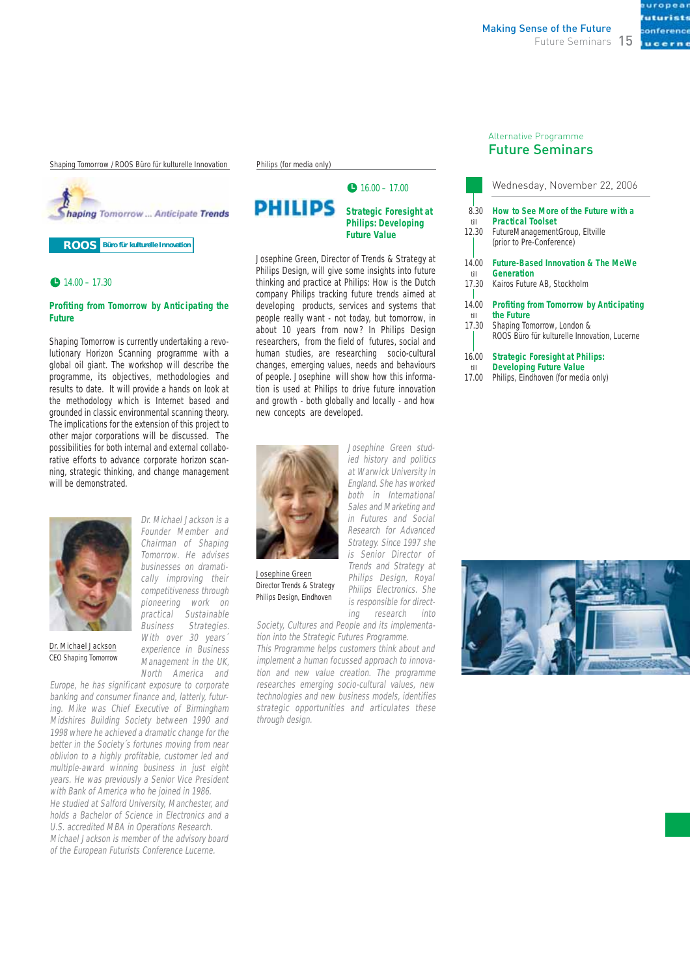Shaping Tomorrow / ROOS Büro für kulturelle Innovation



**ROOS Büro für kulturelle Innovation**

#### $14.00 - 17.30$

#### **Profiting from Tomorrow by Anticipating the Future**

Shaping Tomorrow is currently undertaking a revolutionary Horizon Scanning programme with a global oil giant. The workshop will describe the programme, its objectives, methodologies and results to date. It will provide a hands on look at the methodology which is Internet based and grounded in classic environmental scanning theory. The implications for the extension of this project to other major corporations will be discussed. The possibilities for both internal and external collaborative efforts to advance corporate horizon scanning, strategic thinking, and change management will be demonstrated.



Dr. Michael Jackson is a Founder Member and Chairman of Shaping Tomorrow. He advises businesses on dramatically improving their competitiveness through pioneering work on practical Sustainable Business Strategies. With over 30 years' experience in Business Management in the UK, North America and

Dr. Michael Jackson CEO Shaping Tomorrow

Europe, he has significant exposure to corporate banking and consumer finance and, latterly, futuring. Mike was Chief Executive of Birmingham Midshires Building Society between 1990 and 1998 where he achieved a dramatic change for the better in the Society´s fortunes moving from near oblivion to a highly profitable, customer led and multiple-award winning business in just eight years. He was previously a Senior Vice President with Bank of America who he joined in 1986. He studied at Salford University, Manchester, and holds a Bachelor of Science in Electronics and a U.S. accredited MBA in Operations Research. Michael Jackson is member of the advisory board of the European Futurists Conference Lucerne.

#### Philips (for media only)



#### **PHILIPS Strategic Foresight at Philips: Developing Future Value**

Josephine Green, Director of Trends & Strategy at Philips Design, will give some insights into future thinking and practice at Philips: How is the Dutch company Philips tracking future trends aimed at developing products, services and systems that people really want - not today, but tomorrow, in about 10 years from now? In Philips Design researchers, from the field of futures, social and human studies, are researching socio-cultural changes, emerging values, needs and behaviours of people. Josephine will show how this information is used at Philips to drive future innovation and growth - both globally and locally - and how new concepts are developed.



Josephine Green Director Trends & Strategy Philips Design, Eindhoven

England. She has worked both in International Sales and Marketing and in Futures and Social Research for Advanced Strategy. Since 1997 she is Senior Director of Trends and Strategy at Philips Design, Royal Philips Electronics. She is responsible for directing research into

Josephine Green studied history and politics at Warwick University in

Society, Cultures and People and its implementation into the Strategic Futures Programme.

This Programme helps customers think about and implement a human focussed approach to innovation and new value creation. The programme researches emerging socio-cultural values, new technologies and new business models, identifies strategic opportunities and articulates these through design.

#### Alternative Programme Future Seminars

|                       | Wednesday, November 22, 2006                                                                                                     |
|-----------------------|----------------------------------------------------------------------------------------------------------------------------------|
| 8.30<br>till<br>12.30 | How to See More of the Future with a<br><b>Practical Toolset</b><br>FutureManagementGroup, Eltville<br>(prior to Pre-Conference) |
| 14.00<br>till         | <b>Future-Based Innovation &amp; The MeWe</b><br>Generation                                                                      |
| 17.30                 | Kairos Future AB. Stockholm                                                                                                      |
| 14.00<br>till         | <b>Profiting from Tomorrow by Anticipating</b><br>the Future                                                                     |
| 17.30                 | Shaping Tomorrow, London &<br>ROOS Büro für kulturelle Innovation, Lucerne                                                       |
| 16.00                 | <b>Strategic Foresight at Philips:</b>                                                                                           |

**Developing Future Value**  till

Philips, Eindhoven (for media only) 17.00